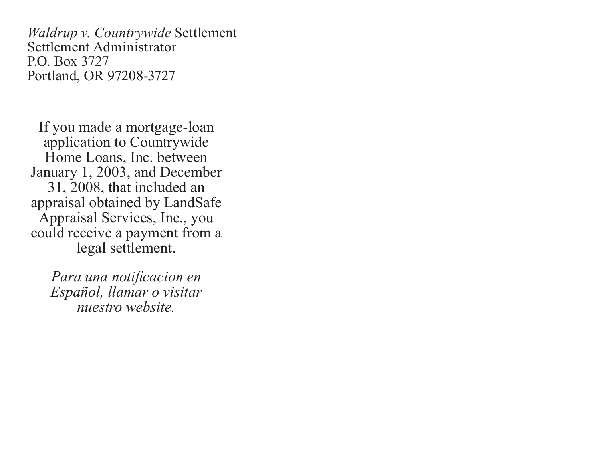*Waldrup v. Countrywide* Settlement Settlement Administrator P.O. Box 3727 Portland, OR 97208-3727

If you made a mortgage-loan application to Countrywide Home Loans, Inc. between January 1, 2003, and December 31, 2008, that included an appraisal obtained by LandSafe Appraisal Services, Inc., you could receive a payment from a legal settlement.

> *Para una notificacion en Español, llamar o visitar nuestro website.*